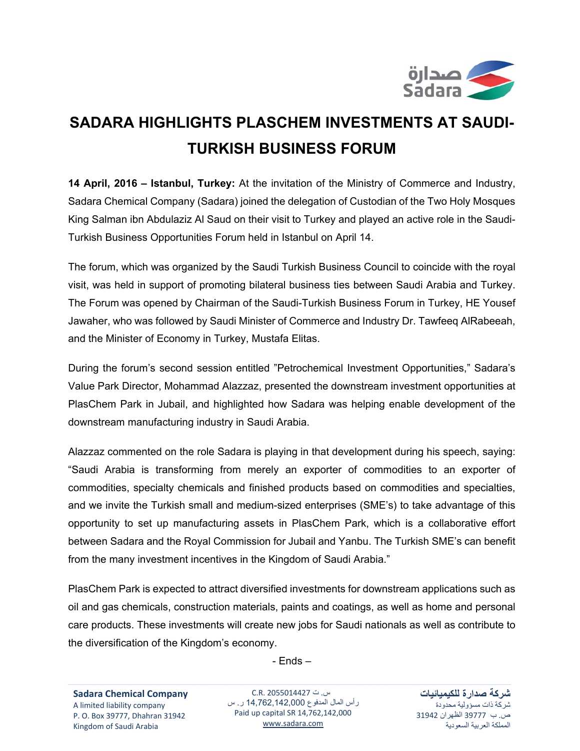

## **SADARA HIGHLIGHTS PLASCHEM INVESTMENTS AT SAUDI-TURKISH BUSINESS FORUM**

**14 April, 2016 – Istanbul, Turkey:** At the invitation of the Ministry of Commerce and Industry, Sadara Chemical Company (Sadara) joined the delegation of Custodian of the Two Holy Mosques King Salman ibn Abdulaziz Al Saud on their visit to Turkey and played an active role in the Saudi-Turkish Business Opportunities Forum held in Istanbul on April 14.

The forum, which was organized by the Saudi Turkish Business Council to coincide with the royal visit, was held in support of promoting bilateral business ties between Saudi Arabia and Turkey. The Forum was opened by Chairman of the Saudi-Turkish Business Forum in Turkey, HE Yousef Jawaher, who was followed by Saudi Minister of Commerce and Industry Dr. Tawfeeq AlRabeeah, and the Minister of Economy in Turkey, Mustafa Elitas.

During the forum's second session entitled "Petrochemical Investment Opportunities," Sadara's Value Park Director, Mohammad Alazzaz, presented the downstream investment opportunities at PlasChem Park in Jubail, and highlighted how Sadara was helping enable development of the downstream manufacturing industry in Saudi Arabia.

Alazzaz commented on the role Sadara is playing in that development during his speech, saying: "Saudi Arabia is transforming from merely an exporter of commodities to an exporter of commodities, specialty chemicals and finished products based on commodities and specialties, and we invite the Turkish small and medium-sized enterprises (SME's) to take advantage of this opportunity to set up manufacturing assets in PlasChem Park, which is a collaborative effort between Sadara and the Royal Commission for Jubail and Yanbu. The Turkish SME's can benefit from the many investment incentives in the Kingdom of Saudi Arabia."

PlasChem Park is expected to attract diversified investments for downstream applications such as oil and gas chemicals, construction materials, paints and coatings, as well as home and personal care products. These investments will create new jobs for Saudi nationals as well as contribute to the diversification of the Kingdom's economy.

- Ends –

س. ت 2055014427 .R.C رأس المال المدفوع 14,762,142,000 ر. س Paid up capital SR 14,762,142,000 www.sadara.com